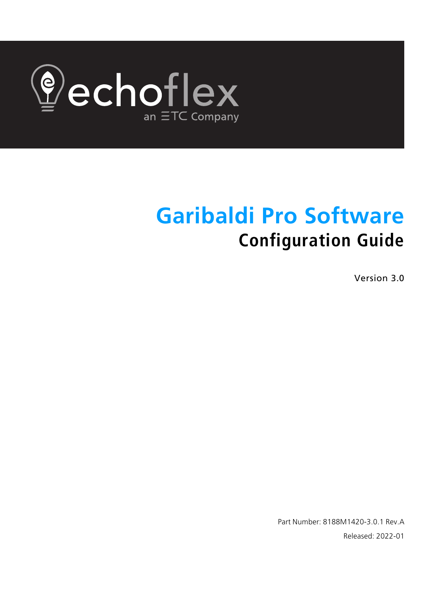

# **Garibaldi Pro Software Configuration Guide**

Version 3.0

Part Number: 8188M1420-3.0.1 Rev.A Released: 2022-01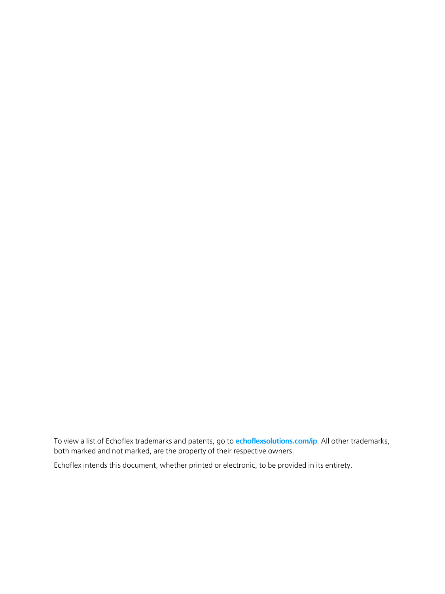To view a list of Echoflex trademarks and patents, go to **[echoflexsolutions.com/ip](http://www.echoflexsolutions.com/ip/)**. All other trademarks, both marked and not marked, are the property of their respective owners.

Echoflex intends this document, whether printed or electronic, to be provided in its entirety.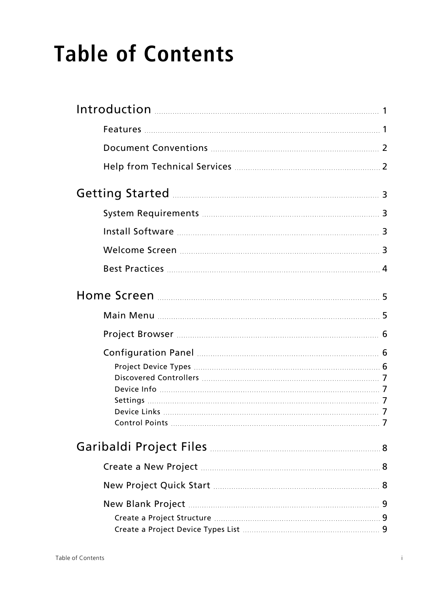# **Table of Contents**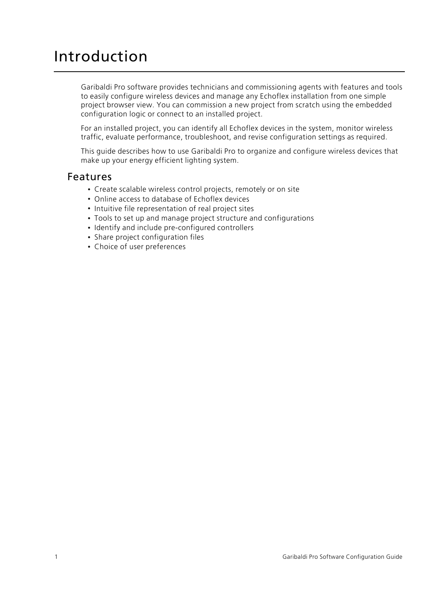## <span id="page-5-0"></span>Introduction

Garibaldi Pro software provides technicians and commissioning agents with features and tools to easily configure wireless devices and manage any Echoflex installation from one simple project browser view. You can commission a new project from scratch using the embedded configuration logic or connect to an installed project.

For an installed project, you can identify all Echoflex devices in the system, monitor wireless traffic, evaluate performance, troubleshoot, and revise configuration settings as required.

This guide describes how to use Garibaldi Pro to organize and configure wireless devices that make up your energy efficient lighting system.

#### <span id="page-5-1"></span>Features

- Create scalable wireless control projects, remotely or on site
- Online access to database of Echoflex devices
- Intuitive file representation of real project sites
- Tools to set up and manage project structure and configurations
- Identify and include pre-configured controllers
- Share project configuration files
- Choice of user preferences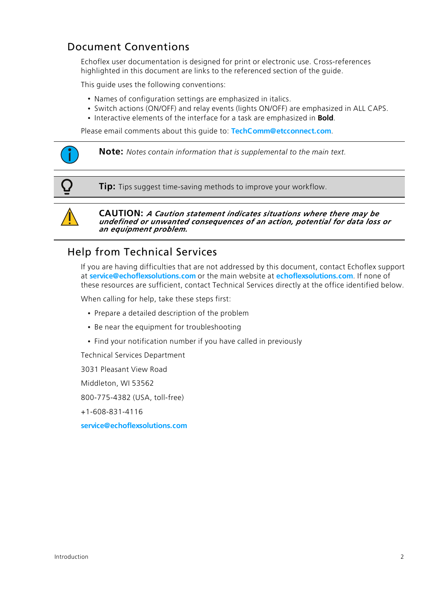## <span id="page-6-0"></span>Document Conventions

Echoflex user documentation is designed for print or electronic use. Cross-references highlighted in this document are links to the referenced section of the guide.

This guide uses the following conventions:

- Names of configuration settings are emphasized in italics.
- Switch actions (ON/OFF) and relay events (lights ON/OFF) are emphasized in ALL CAPS.
- Interactive elements of the interface for a task are emphasized in **Bold**.

Please email comments about this guide to: **[TechComm@etcconnect.com](mailto:TechComm@etcconnect.com)**.



**Tip:** Tips suggest time-saving methods to improve your workflow.



**CAUTION:** *<sup>A</sup> Caution statement indicates situations where there may be undefined or unwanted consequences of an action, potential for data loss or an equipment problem.*

#### <span id="page-6-1"></span>Help from Technical Services

If you are having difficulties that are not addressed by this document, contact Echoflex support at **[service@echoflexsolutions.com](mailto:service@echoflexsolutions.com)** or the main website at **[echoflexsolutions.com](http://www.echoflexsolutions.com/)**. If none of these resources are sufficient, contact Technical Services directly at the office identified below.

When calling for help, take these steps first:

- Prepare a detailed description of the problem
- Be near the equipment for troubleshooting
- Find your notification number if you have called in previously

Technical Services Department

3031 Pleasant View Road

Middleton, WI 53562

800-775-4382 (USA, toll-free)

+1-608-831-4116

**[service@echoflexsolutions.com](mailto:service@echoflexsolutions.com)**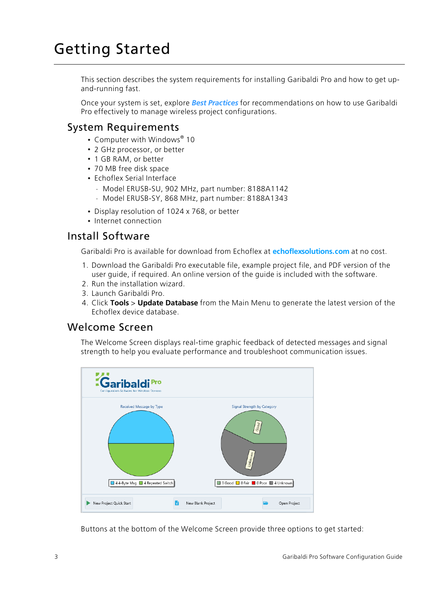## <span id="page-7-0"></span>Getting Started

This section describes the system requirements for installing Garibaldi Pro and how to get upand-running fast.

Once your system is set, explore *Best [Practices](#page-8-0)* for recommendations on how to use Garibaldi Pro effectively to manage wireless project configurations.

#### <span id="page-7-1"></span>System Requirements

- Computer with Windows® 10
- 2 GHz processor, or better
- 1 GB RAM, or better
- 70 MB free disk space
- Echoflex Serial Interface
	- Model ERUSB-SU, 902 MHz, part number: 8188A1142
	- Model ERUSB-SY, 868 MHz, part number: 8188A1343
- Display resolution of 1024 x 768, or better
- Internet connection

#### <span id="page-7-2"></span>Install Software

Garibaldi Pro is available for download from Echoflex at **[echoflexsolutions.com](https://www.echoflexsolutions.com/products/interfacesgateways/garibaldi-pro)** at no cost.

- 1. Download the Garibaldi Pro executable file, example project file, and PDF version of the user guide, if required. An online version of the guide is included with the software.
- 2. Run the installation wizard.
- 3. Launch Garibaldi Pro.
- 4. Click **Tools** > **Update Database** from the Main Menu to generate the latest version of the Echoflex device database.

#### <span id="page-7-3"></span>Welcome Screen

The Welcome Screen displays real-time graphic feedback of detected messages and signal strength to help you evaluate performance and troubleshoot communication issues.



Buttons at the bottom of the Welcome Screen provide three options to get started: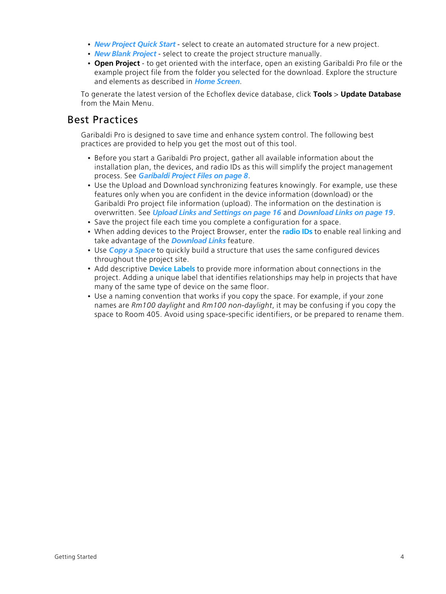- *New [Project](#page-12-2) Quick Start* select to create an automated structure for a new project.
- *New Blank [Project](#page-13-0)* select to create the project structure manually.
- **Open Project** to get oriented with the interface, open an existing Garibaldi Pro file or the example project file from the folder you selected for the download. Explore the structure and elements as described in *Home [Screen](#page-9-0)*.

To generate the latest version of the Echoflex device database, click **Tools** > **Update Database** from the Main Menu.

#### <span id="page-8-0"></span>Best Practices

Garibaldi Pro is designed to save time and enhance system control. The following best practices are provided to help you get the most out of this tool.

- Before you start a Garibaldi Pro project, gather all available information about the installation plan, the devices, and radio IDs as this will simplify the project management process. See *[Garibaldi](#page-12-0) Project Files on page 8*.
- Use the Upload and Download synchronizing features knowingly. For example, use these features only when you are confident in the device information (download) or the Garibaldi Pro project file information (upload). The information on the destination is overwritten. See *Upload Links and [Settings](#page-20-1) on page 16* and *[Download](#page-23-0) Links on page 19*.
- Save the project file each time you complete a configuration for a space.
- When adding devices to the Project Browser, enter the **[radio](#page-18-0) IDs** to enable real linking and take advantage of the *[Download](#page-23-0) Links* feature.
- Use *Copy a [Space](#page-20-0)* to quickly build a structure that uses the same configured devices throughout the project site.
- Add descriptive **[Device](#page-17-1) Labels** to provide more information about connections in the project. Adding a unique label that identifies relationships may help in projects that have many of the same type of device on the same floor.
- Use a naming convention that works if you copy the space. For example, if your zone names are *Rm100 daylight* and *Rm100 non-daylight*, it may be confusing if you copy the space to Room 405. Avoid using space-specific identifiers, or be prepared to rename them.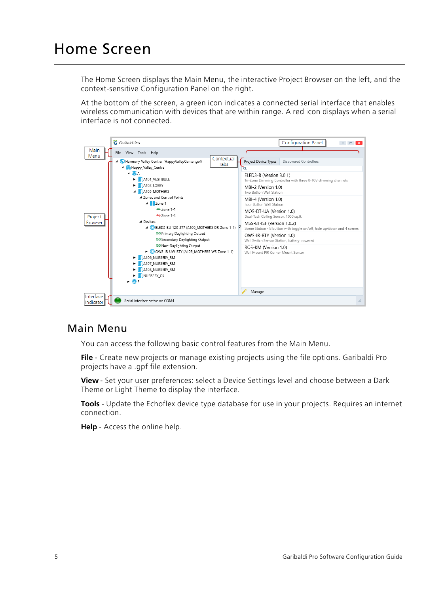<span id="page-9-0"></span>The Home Screen displays the Main Menu, the interactive Project Browser on the left, and the context-sensitive Configuration Panel on the right.

At the bottom of the screen, a green icon indicates a connected serial interface that enables wireless communication with devices that are within range. A red icon displays when a serial interface is not connected.



#### <span id="page-9-1"></span>Main Menu

You can access the following basic control features from the Main Menu.

**File** - Create new projects or manage existing projects using the file options. Garibaldi Pro projects have a .gpf file extension.

**View** - Set your user preferences: select a Device Settings level and choose between a Dark Theme or Light Theme to display the interface.

**Tools** - Update the Echoflex device type database for use in your projects. Requires an internet connection.

**Help** - Access the online help.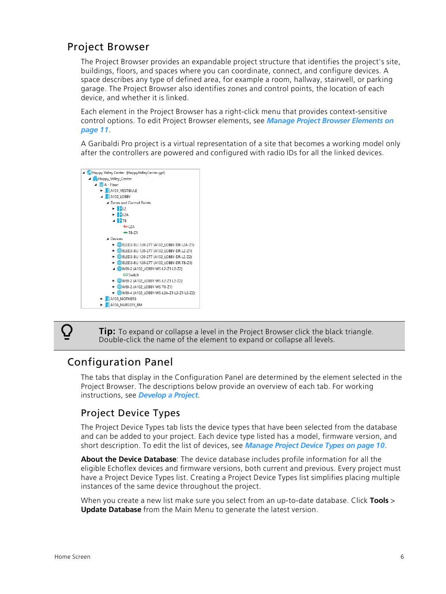## <span id="page-10-0"></span>Project Browser

The Project Browser provides an expandable project structure that identifies the project's site, buildings, floors, and spaces where you can coordinate, connect, and configure devices. A space describes any type of defined area, for example a room, hallway, stairwell, or parking garage. The Project Browser also identifies zones and control points, the location of each device, and whether it is linked.

Each element in the Project Browser has a right-click menu that provides context-sensitive control options. To edit Project Browser elements, see *Manage Project Browser [Elements](#page-15-1) on [page 11](#page-15-1)*.

A Garibaldi Pro project is a virtual representation of a site that becomes a working model only after the controllers are powered and configured with radio IDs for all the linked devices.



 $\Omega$ 

**Tip:** To expand or collapse a level in the Project Browser click the black triangle. Double-click the name of the element to expand or collapse all levels.

#### <span id="page-10-1"></span>Configuration Panel

The tabs that display in the Configuration Panel are determined by the element selected in the Project Browser. The descriptions below provide an overview of each tab. For working instructions, see *[Develop](#page-14-0) a Project*.

#### <span id="page-10-2"></span>Project Device Types

The Project Device Types tab lists the device types that have been selected from the database and can be added to your project. Each device type listed has a model, firmware version, and short description. To edit the list of devices, see *[Manage](#page-14-1) Project Device Types on page 10*.

**About the Device Database**: The device database includes profile information for all the eligible Echoflex devices and firmware versions, both current and previous. Every project must have a Project Device Types list. Creating a Project Device Types list simplifies placing multiple instances of the same device throughout the project.

When you create a new list make sure you select from an up-to-date database. Click **Tools** > **Update Database** from the Main Menu to generate the latest version.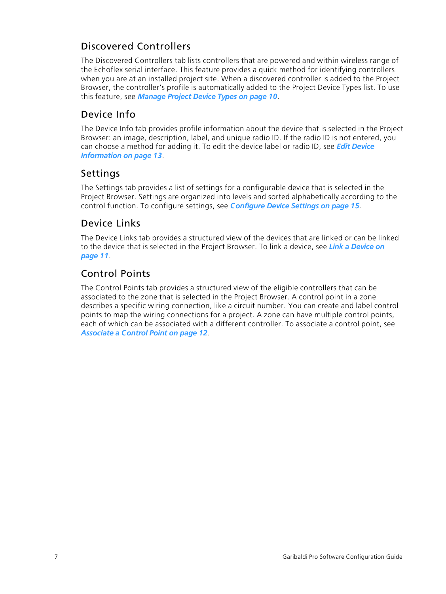## <span id="page-11-0"></span>Discovered Controllers

The Discovered Controllers tab lists controllers that are powered and within wireless range of the Echoflex serial interface. This feature provides a quick method for identifying controllers when you are at an installed project site. When a discovered controller is added to the Project Browser, the controller's profile is automatically added to the Project Device Types list. To use this feature, see *[Manage](#page-14-1) Project Device Types on page 10*.

## <span id="page-11-1"></span>Device Info

The Device Info tab provides profile information about the device that is selected in the Project Browser: an image, description, label, and unique radio ID. If the radio ID is not entered, you can choose a method for adding it. To edit the device label or radio ID, see *Edit [Device](#page-17-0) [Information](#page-17-0) on page 13*.

#### <span id="page-11-2"></span>Settings

The Settings tab provides a list of settings for a configurable device that is selected in the Project Browser. Settings are organized into levels and sorted alphabetically according to the control function. To configure settings, see *[Configure](#page-19-0) Device Settings on page 15*.

#### <span id="page-11-3"></span>Device Links

The Device Links tab provides a structured view of the devices that are linked or can be linked to the device that is selected in the Project Browser. To link a device, see *Link a [Device](#page-15-2) on [page 11](#page-15-2)*.

#### <span id="page-11-4"></span>Control Points

The Control Points tab provides a structured view of the eligible controllers that can be associated to the zone that is selected in the Project Browser. A control point in a zone describes a specific wiring connection, like a circuit number. You can create and label control points to map the wiring connections for a project. A zone can have multiple control points, each of which can be associated with a different controller. To associate a control point, see *[Associate](#page-16-1) a Control Point on page 12*.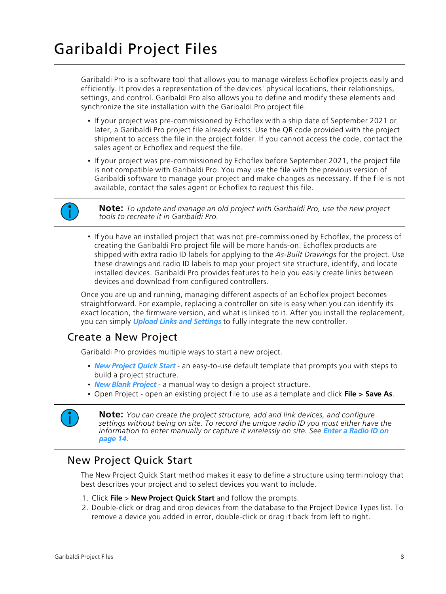<span id="page-12-0"></span>Garibaldi Pro is a software tool that allows you to manage wireless Echoflex projects easily and efficiently. It provides a representation of the devices' physical locations, their relationships, settings, and control. Garibaldi Pro also allows you to define and modify these elements and synchronize the site installation with the Garibaldi Pro project file.

- If your project was pre-commissioned by Echoflex with a ship date of September 2021 or later, a Garibaldi Pro project file already exists. Use the QR code provided with the project shipment to access the file in the project folder. If you cannot access the code, contact the sales agent or Echoflex and request the file.
- If your project was pre-commissioned by Echoflex before September 2021, the project file is not compatible with Garibaldi Pro. You may use the file with the previous version of Garibaldi software to manage your project and make changes as necessary. If the file is not available, contact the sales agent or Echoflex to request this file.



**Note:** *To update and manage an old project with Garibaldi Pro, use the new project tools to recreate it in Garibaldi Pro.*

• If you have an installed project that was not pre-commissioned by Echoflex, the process of creating the Garibaldi Pro project file will be more hands-on. Echoflex products are shipped with extra radio ID labels for applying to the *As-Built Drawings* for the project. Use these drawings and radio ID labels to map your project site structure, identify, and locate installed devices. Garibaldi Pro provides features to help you easily create links between devices and download from configured controllers.

Once you are up and running, managing different aspects of an Echoflex project becomes straightforward. For example, replacing a controller on site is easy when you can identify its exact location, the firmware version, and what is linked to it. After you install the replacement, you can simply *Upload Links and [Settings](#page-20-1)* to fully integrate the new controller.

## <span id="page-12-1"></span>Create a New Project

Garibaldi Pro provides multiple ways to start a new project.

- *New [Project](#page-12-2) Quick Start* an easy-to-use default template that prompts you with steps to build a project structure.
- *New Blank [Project](#page-13-0)* a manual way to design a project structure.
- Open Project open an existing project file to use as a template and click **File > Save As**.



**Note:** *You can create the project structure, add and link devices, and configure settings without being on site. To record the unique radio ID you must either have the information to enter manually or capture it wirelessly on site. See Enter a [Radio](#page-18-0) ID on [page 14](#page-18-0).*

#### <span id="page-12-2"></span>New Project Quick Start

The New Project Quick Start method makes it easy to define a structure using terminology that best describes your project and to select devices you want to include.

- 1. Click **File** > **New Project Quick Start** and follow the prompts.
- 2. Double-click or drag and drop devices from the database to the Project Device Types list. To remove a device you added in error, double-click or drag it back from left to right.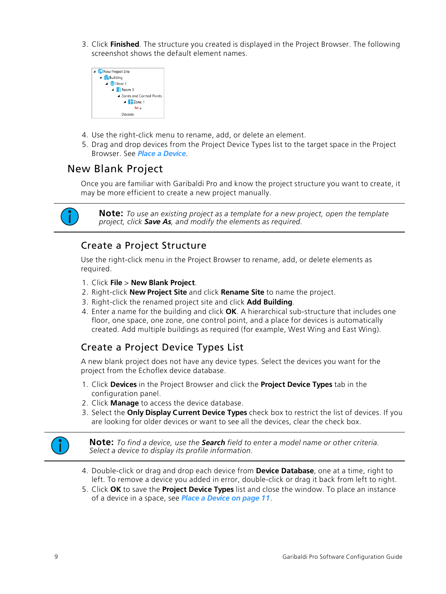3. Click **Finished**. The structure you created is displayed in the Project Browser. The following screenshot shows the default element names.



- 4. Use the right-click menu to rename, add, or delete an element.
- 5. Drag and drop devices from the Project Device Types list to the target space in the Project Browser. See *Place a [Device](#page-15-0)*.

## <span id="page-13-0"></span>New Blank Project

Once you are familiar with Garibaldi Pro and know the project structure you want to create, it may be more efficient to create a new project manually.



**Note:** *To use an existing project as a template for a new project, open the template project, click Save As, and modify the elements as required.*

#### <span id="page-13-1"></span>Create a Project Structure

Use the right-click menu in the Project Browser to rename, add, or delete elements as required.

- 1. Click **File** > **New Blank Project**.
- 2. Right-click **New Project Site** and click **Rename Site** to name the project.
- 3. Right-click the renamed project site and click **Add Building**.
- 4. Enter a name for the building and click **OK**. A hierarchical sub-structure that includes one floor, one space, one zone, one control point, and a place for devices is automatically created. Add multiple buildings as required (for example, West Wing and East Wing).

#### <span id="page-13-2"></span>Create a Project Device Types List

A new blank project does not have any device types. Select the devices you want for the project from the Echoflex device database.

- 1. Click **Devices** in the Project Browser and click the **Project Device Types** tab in the configuration panel.
- 2. Click **Manage** to access the device database.
- 3. Select the **Only Display Current Device Types** check box to restrict the list of devices. If you are looking for older devices or want to see all the devices, clear the check box.



**Note:** *To find a device, use the Search field to enter a model name or other criteria. Select a device to display its profile information.*

- 4. Double-click or drag and drop each device from **Device Database**, one at a time, right to left. To remove a device you added in error, double-click or drag it back from left to right.
- 5. Click **OK** to save the **Project Device Types** list and close the window. To place an instance of a device in a space, see *Place a Device on [page 11](#page-15-0)*.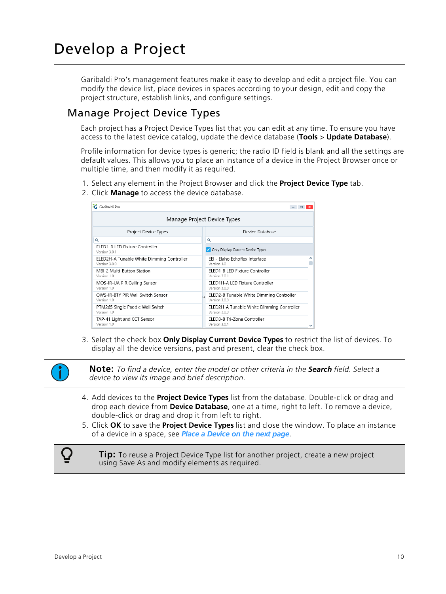## <span id="page-14-0"></span>Develop a Project

Garibaldi Pro's management features make it easy to develop and edit a project file. You can modify the device list, place devices in spaces according to your design, edit and copy the project structure, establish links, and configure settings.

## <span id="page-14-1"></span>Manage Project Device Types

Each project has a Project Device Types list that you can edit at any time. To ensure you have access to the latest device catalog, update the device database (**Tools** > **Update Database**).

Profile information for device types is generic; the radio ID field is blank and all the settings are default values. This allows you to place an instance of a device in the Project Browser once or multiple time, and then modify it as required.

- 1. Select any element in the Project Browser and click the **Project Device Type** tab.
- 2. Click **Manage** to access the device database.

| :G Garibaldi Pro<br>$ =$ $x$                               |                                                                |  |  |
|------------------------------------------------------------|----------------------------------------------------------------|--|--|
| Manage Project Device Types                                |                                                                |  |  |
| Project Device Types                                       | Device Database                                                |  |  |
| Q                                                          | Q                                                              |  |  |
| <b>FLED1-BLED Fixture Controller</b><br>Version 3.0.1      | Only Display Current Device Types                              |  |  |
| ELED2H-A Tunable White Dimming Controller<br>Version 3.0.0 | EEL - Elaho Echoflex Interface<br>Version 1.0                  |  |  |
| MBI-2 Multi-Button Station<br>Version 1.0                  | ELED1-B LED Fixture Controller<br>Version 3.0.1                |  |  |
| MOS-IR-UA PIR Ceiling Sensor<br>Version 1.0                | FLED1H-ALLED Fixture Controller<br>Version 3.0.0               |  |  |
| OWS-IR-BTY PIR Wall Switch Sensor<br>Version 1.0           | ELED2-B Tunable White Dimming Controller<br>C<br>Version 3.0.0 |  |  |
| PTM265 Single Paddle Wall Switch<br>Version 1.0            | ELED2H-A Tunable White Dimming Controller<br>Version 3.0.0     |  |  |
| TAP-41 Light and CCT Sensor<br>Version 1.0                 | ELED3-B Tri-Zone Controller<br>Version 3.0.1                   |  |  |

3. Select the check box **Only Display Current Device Types** to restrict the list of devices. To display all the device versions, past and present, clear the check box.



**Note:** *To find a device, enter the model or other criteria in the Search field. Select a device to view its image and brief description.*

- 4. Add devices to the **Project Device Types** list from the database. Double-click or drag and drop each device from **Device Database**, one at a time, right to left. To remove a device, double-click or drag and drop it from left to right.
- 5. Click **OK** to save the **Project Device Types** list and close the window. To place an instance of a device in a space, see *Place a [Device](#page-15-0) on the next page*.

**Tip:** To reuse a Project Device Type list for another project, create a new project using Save As and modify elements as required.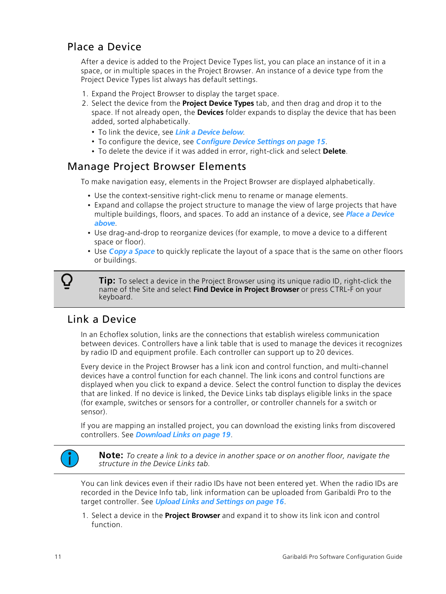## <span id="page-15-0"></span>Place a Device

After a device is added to the Project Device Types list, you can place an instance of it in a space, or in multiple spaces in the Project Browser. An instance of a device type from the Project Device Types list always has default settings.

- 1. Expand the Project Browser to display the target space.
- 2. Select the device from the **Project Device Types** tab, and then drag and drop it to the space. If not already open, the **Devices** folder expands to display the device that has been added, sorted alphabetically.
	- To link the device, see *Link a [Device](#page-15-2) below*.
	- To configure the device, see *[Configure](#page-19-0) Device Settings on page 15*.
	- To delete the device if it was added in error, right-click and select **Delete**.

## <span id="page-15-1"></span>Manage Project Browser Elements

To make navigation easy, elements in the Project Browser are displayed alphabetically.

- Use the context-sensitive right-click menu to rename or manage elements.
- Expand and collapse the project structure to manage the view of large projects that have multiple buildings, floors, and spaces. To add an instance of a device, see *Place a [Device](#page-15-0) [above](#page-15-0)*.
- Use drag-and-drop to reorganize devices (for example, to move a device to a different space or floor).
- Use *Copy a [Space](#page-20-0)* to quickly replicate the layout of a space that is the same on other floors or buildings.

**Tip:** To select a device in the Project Browser using its unique radio ID, right-click the name of the Site and select **Find Device in Project Browser** or press CTRL-F on your keyboard.

## <span id="page-15-2"></span>Link a Device

In an Echoflex solution, links are the connections that establish wireless communication between devices. Controllers have a link table that is used to manage the devices it recognizes by radio ID and equipment profile. Each controller can support up to 20 devices.

Every device in the Project Browser has a link icon and control function, and multi-channel devices have a control function for each channel. The link icons and control functions are displayed when you click to expand a device. Select the control function to display the devices that are linked. If no device is linked, the Device Links tab displays eligible links in the space (for example, switches or sensors for a controller, or controller channels for a switch or sensor).

If you are mapping an installed project, you can download the existing links from discovered controllers. See *[Download](#page-23-0) Links on page 19*.



**Note:** *To create a link to a device in another space or on another floor, navigate the structure in the Device Links tab.*

You can link devices even if their radio IDs have not been entered yet. When the radio IDs are recorded in the Device Info tab, link information can be uploaded from Garibaldi Pro to the target controller. See *Upload Links and [Settings](#page-20-1) on page 16*.

1. Select a device in the **Project Browser** and expand it to show its link icon and control function.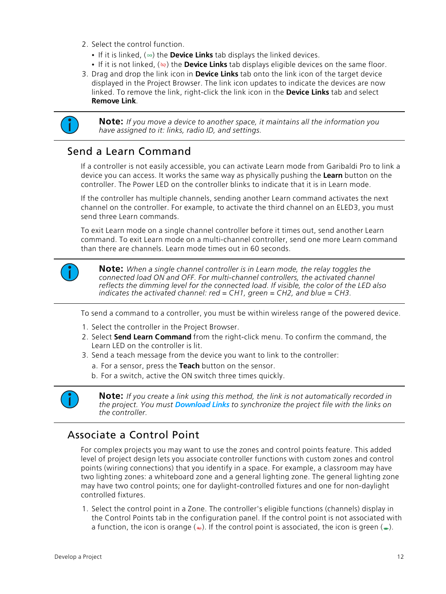- 2. Select the control function.
	- If it is linked, ( $\bullet$ ) the **Device Links** tab displays the linked devices.
	- If it is not linked, ( ) the **Device Links** tab displays eligible devices on the same floor.
- 3. Drag and drop the link icon in **Device Links** tab onto the link icon of the target device displayed in the Project Browser. The link icon updates to indicate the devices are now linked. To remove the link, right-click the link icon in the **Device Links** tab and select **Remove Link**.



**Note:** *If you move a device to another space, it maintains all the information you have assigned to it: links, radio ID, and settings.*

#### <span id="page-16-0"></span>Send a Learn Command

If a controller is not easily accessible, you can activate Learn mode from Garibaldi Pro to link a device you can access. It works the same way as physically pushing the **Learn** button on the controller. The Power LED on the controller blinks to indicate that it is in Learn mode.

If the controller has multiple channels, sending another Learn command activates the next channel on the controller. For example, to activate the third channel on an ELED3, you must send three Learn commands.

To exit Learn mode on a single channel controller before it times out, send another Learn command. To exit Learn mode on a multi-channel controller, send one more Learn command than there are channels. Learn mode times out in 60 seconds.



**Note:** *When a single channel controller is in Learn mode, the relay toggles the connected load ON and OFF. For multi-channel controllers, the activated channel reflects the dimming level for the connected load. If visible, the color of the LED also indicates the activated channel: red = CH1, green = CH2, and blue = CH3.*

To send a command to a controller, you must be within wireless range of the powered device.

- 1. Select the controller in the Project Browser.
- 2. Select **Send Learn Command** from the right-click menu. To confirm the command, the Learn LED on the controller is lit.
- 3. Send a teach message from the device you want to link to the controller:
	- a. For a sensor, press the **Teach** button on the sensor.
	- b. For a switch, active the ON switch three times quickly.



**Note:** *If you create a link using this method, the link is not automatically recorded in the project. You must [Download](#page-23-0) Links to synchronize the project file with the links on the controller.*

## <span id="page-16-1"></span>Associate a Control Point

For complex projects you may want to use the zones and control points feature. This added level of project design lets you associate controller functions with custom zones and control points (wiring connections) that you identify in a space. For example, a classroom may have two lighting zones: a whiteboard zone and a general lighting zone. The general lighting zone may have two control points; one for daylight-controlled fixtures and one for non-daylight controlled fixtures.

1. Select the control point in a Zone. The controller's eligible functions (channels) display in the Control Points tab in the configuration panel. If the control point is not associated with a function, the icon is orange ( $\leftrightarrow$ ). If the control point is associated, the icon is green ( $\leftrightarrow$ ).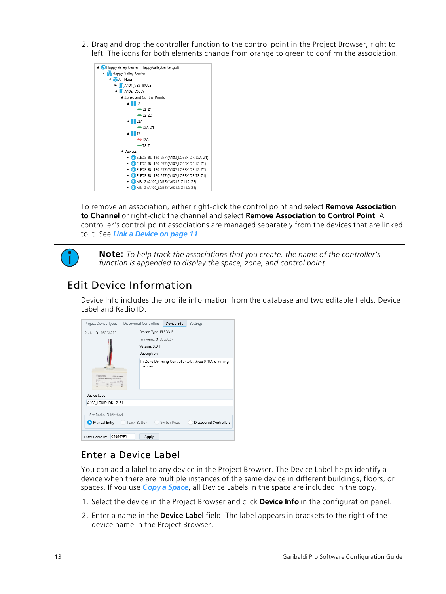2. Drag and drop the controller function to the control point in the Project Browser, right to left. The icons for both elements change from orange to green to confirm the association.



To remove an association, either right-click the control point and select **Remove Association to Channel** or right-click the channel and select **Remove Association to Control Point**. A controller's control point associations are managed separately from the devices that are linked to it. See *Link a Device on [page 11](#page-15-2)*.



**Note:** *To help track the associations that you create, the name of the controller's function is appended to display the space, zone, and control point.*

## <span id="page-17-0"></span>Edit Device Information

Device Info includes the profile information from the database and two editable fields: Device Label and Radio ID.

|                                                                                                                                                                                                                                                                                                         |       |  | Settings |
|---------------------------------------------------------------------------------------------------------------------------------------------------------------------------------------------------------------------------------------------------------------------------------------------------------|-------|--|----------|
| Project Device Types  Discovered Controllers  Device Info<br>Device Type: ELED3-B<br>Radio ID: 059662E5<br>Firmware: 8189S2037<br>Version: 3.0.1<br>Description:<br>Tri-Zone Dimming Controller with three 0-10V dimming<br>channels<br>Tochajes<br>Called and manufacturer<br>76-2000 ENrimiteg Cardes |       |  |          |
| Device Label<br>A102 LOBBY-DR-L2-Z1                                                                                                                                                                                                                                                                     |       |  |          |
| Set Radio ID Method<br>Manual Entry C Teach Button Switch Press<br><b>Discovered Controllers</b>                                                                                                                                                                                                        |       |  |          |
| 059662E5<br>Enter Radio Id:                                                                                                                                                                                                                                                                             | Apply |  |          |

#### <span id="page-17-1"></span>Enter a Device Label

You can add a label to any device in the Project Browser. The Device Label helps identify a device when there are multiple instances of the same device in different buildings, floors, or spaces. If you use *Copy a [Space](#page-20-0)*, all Device Labels in the space are included in the copy.

- 1. Select the device in the Project Browser and click **Device Info** in the configuration panel.
- 2. Enter a name in the **Device Label** field. The label appears in brackets to the right of the device name in the Project Browser.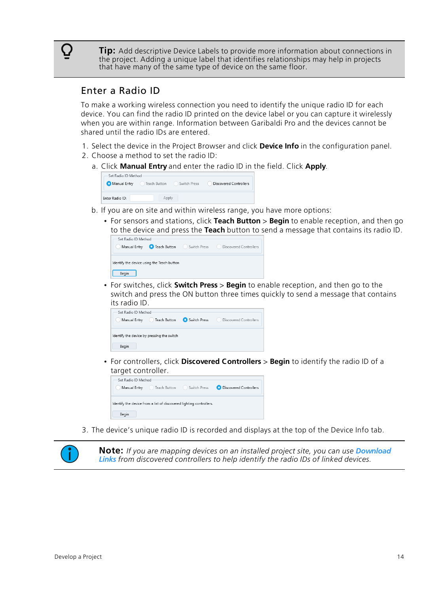**Tip:** Add descriptive Device Labels to provide more information about connections in the project. Adding a unique label that identifies relationships may help in projects that have many of the same type of device on the same floor.

#### <span id="page-18-0"></span>Enter a Radio ID

( )

To make a working wireless connection you need to identify the unique radio ID for each device. You can find the radio ID printed on the device label or you can capture it wirelessly when you are within range. Information between Garibaldi Pro and the devices cannot be shared until the radio IDs are entered.

- 1. Select the device in the Project Browser and click **Device Info** in the configuration panel.
- 2. Choose a method to set the radio ID:
	- a. Click **Manual Entry** and enter the radio ID in the field. Click **Apply**.

| Set Radio ID Method |              |              |                        |
|---------------------|--------------|--------------|------------------------|
| Manual Entry        | Teach Button | Switch Press | Discovered Controllers |
| Enter Radio ID:     | Apply        |              |                        |

- b. If you are on site and within wireless range, you have more options:
	- For sensors and stations, click **Teach Button** > **Begin** to enable reception, and then go to the device and press the **Teach** button to send a message that contains its radio ID.

| Set Radio ID Method                        |              |                        |
|--------------------------------------------|--------------|------------------------|
| <b>O</b> Teach Button<br>Manual Entry      | Switch Press | Discovered Controllers |
|                                            |              |                        |
| Identify the device using the Teach button |              |                        |
| Beain                                      |              |                        |
|                                            |              |                        |

• For switches, click **Switch Press** > **Begin** to enable reception, and then go to the switch and press the ON button three times quickly to send a message that contains its radio ID.

| Set Radio ID Method<br>Teach Button<br>Manual Entry | Switch Press | Discovered Controllers |
|-----------------------------------------------------|--------------|------------------------|
| Identify the device by pressing the switch<br>Begin |              |                        |

• For controllers, click **Discovered Controllers** > **Begin** to identify the radio ID of a target controller.



3. The device's unique radio ID is recorded and displays at the top of the Device Info tab.

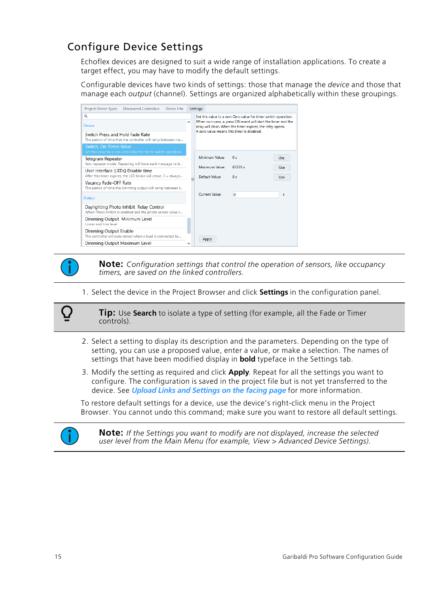## <span id="page-19-0"></span>Configure Device Settings

Echoflex devices are designed to suit a wide range of installation applications. To create a target effect, you may have to modify the default settings.

Configurable devices have two kinds of settings: those that manage the *device* and those that manage each *output* (channel). Settings are organized alphabetically within these groupings.

| Project Device Types<br><b>Discovered Controllers</b><br>Device Info                                  |   | Settings                                                                                                                                                                                                                                   |
|-------------------------------------------------------------------------------------------------------|---|--------------------------------------------------------------------------------------------------------------------------------------------------------------------------------------------------------------------------------------------|
| Q<br>Device                                                                                           | ᄉ | Set this value to a non-Zero value for timer switch operation.<br>When non-zero, a press ON event will start the timer and the<br>relay will close. When the timer expires, the relay opens.<br>A zero value means this timer is disabled. |
| Switch Press and Hold Fade Rate<br>The period of time that the controller will ramp between ma        |   |                                                                                                                                                                                                                                            |
| Switch, On-Timer Value<br>Set this value to a non-Zero value for timer switch operation.              |   |                                                                                                                                                                                                                                            |
| Telegram Repeater<br>Sets repeater mode. Repeating will have each message re-b                        |   | Minimum Value:<br>0<<br>Use<br>Maximum Value:<br>65535s<br><b>Use</b>                                                                                                                                                                      |
| User Interface (LEDs) Disable time<br>After this timer expires, the LED blinks will cease. 0 = always |   | Default Value:<br>0 <sub>s</sub><br>Use                                                                                                                                                                                                    |
| Vacancy Fade-OFF Rate<br>The period of time the dimming output will ramp between t                    |   |                                                                                                                                                                                                                                            |
| Output                                                                                                |   | Current Value:<br>$\circ$<br>s                                                                                                                                                                                                             |
| Daylighting Photo Inhibit Relay Control<br>When Photo Inhibit is enabled and the photo sensor value i |   |                                                                                                                                                                                                                                            |
| Dimming Output Minimum Level<br>Lower end trim level                                                  |   |                                                                                                                                                                                                                                            |
| Dimming Output Enable<br>The controller will auto detect when a load is connected to                  |   | Apply                                                                                                                                                                                                                                      |
| Dimming Output Maximum Level                                                                          |   |                                                                                                                                                                                                                                            |



 $\bf{Q}$ 

**Note:** *Configuration settings that control the operation of sensors, like occupancy timers, are saved on the linked controllers.*

1. Select the device in the Project Browser and click **Settings** in the configuration panel.

**Tip:** Use **Search** to isolate a type of setting (for example, all the Fade or Timer controls).

- 2. Select a setting to display its description and the parameters. Depending on the type of setting, you can use a proposed value, enter a value, or make a selection. The names of settings that have been modified display in **bold** typeface in the Settings tab.
- 3. Modify the setting as required and click **Apply**. Repeat for all the settings you want to configure. The configuration is saved in the project file but is not yet transferred to the device. See *Upload Links and [Settings](#page-20-1) on the facing page* for more information.

To restore default settings for a device, use the device's right-click menu in the Project Browser. You cannot undo this command; make sure you want to restore all default settings.



**Note:** *If the Settings you want to modify are not displayed, increase the selected user level from the Main Menu (for example, View > Advanced Device Settings).*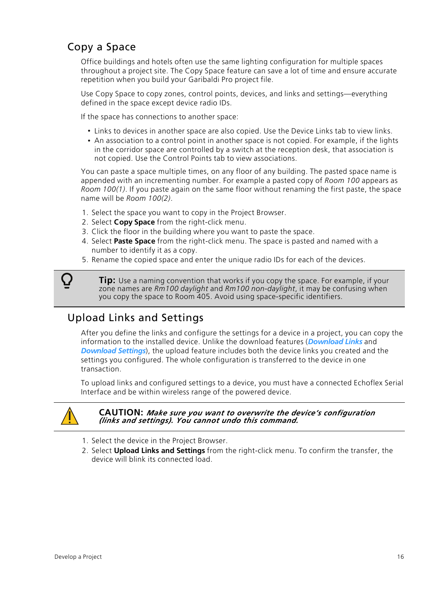## <span id="page-20-0"></span>Copy a Space

Office buildings and hotels often use the same lighting configuration for multiple spaces throughout a project site. The Copy Space feature can save a lot of time and ensure accurate repetition when you build your Garibaldi Pro project file.

Use Copy Space to copy zones, control points, devices, and links and settings—everything defined in the space except device radio IDs.

If the space has connections to another space:

- Links to devices in another space are also copied. Use the Device Links tab to view links.
- An association to a control point in another space is not copied. For example, if the lights in the corridor space are controlled by a switch at the reception desk, that association is not copied. Use the Control Points tab to view associations.

You can paste a space multiple times, on any floor of any building. The pasted space name is appended with an incrementing number. For example a pasted copy of *Room 100* appears as *Room 100(1)*. If you paste again on the same floor without renaming the first paste, the space name will be *Room 100(2)*.

- 1. Select the space you want to copy in the Project Browser.
- 2. Select **Copy Space** from the right-click menu.
- 3. Click the floor in the building where you want to paste the space.
- 4. Select **Paste Space** from the right-click menu. The space is pasted and named with a number to identify it as a copy.
- 5. Rename the copied space and enter the unique radio IDs for each of the devices.

**Tip:** Use a naming convention that works if you copy the space. For example, if your zone names are *Rm100 daylight* and *Rm100 non-daylight*, it may be confusing when you copy the space to Room 405. Avoid using space-specific identifiers.

## <span id="page-20-1"></span>Upload Links and Settings

After you define the links and configure the settings for a device in a project, you can copy the information to the installed device. Unlike the download features (*[Download](#page-23-0) Links* and *[Download](#page-23-1) Settings*), the upload feature includes both the device links you created and the settings you configured. The whole configuration is transferred to the device in one transaction.

To upload links and configured settings to a device, you must have a connected Echoflex Serial Interface and be within wireless range of the powered device.



( )

**CAUTION:** *Make sure you want to overwrite the device's configuration (links and settings). You cannot undo this command.*

- 1. Select the device in the Project Browser.
- 2. Select **Upload Links and Settings** from the right-click menu. To confirm the transfer, the device will blink its connected load.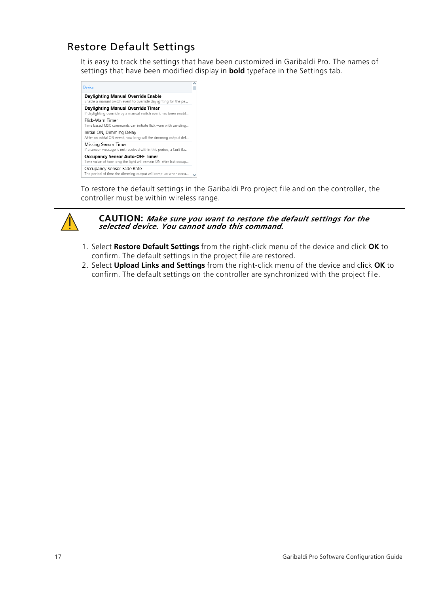## <span id="page-21-0"></span>Restore Default Settings

It is easy to track the settings that have been customized in Garibaldi Pro. The names of settings that have been modified display in **bold** typeface in the Settings tab.



To restore the default settings in the Garibaldi Pro project file and on the controller, the controller must be within wireless range.



**CAUTION:** *Make sure you want to restore the default settings for the selected device. You cannot undo this command.*

- 1. Select **Restore Default Settings** from the right-click menu of the device and click **OK** to confirm. The default settings in the project file are restored.
- 2. Select **Upload Links and Settings** from the right-click menu of the device and click **OK** to confirm. The default settings on the controller are synchronized with the project file.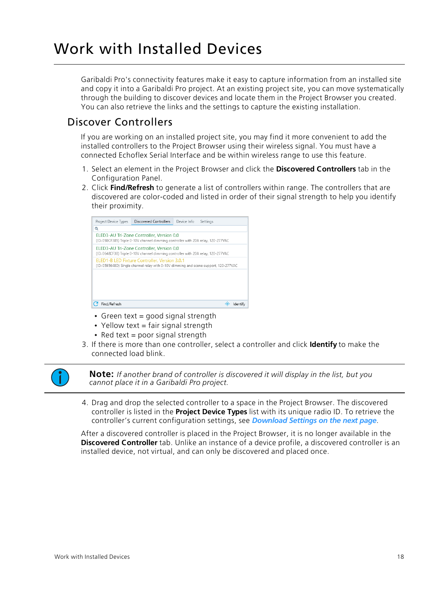## <span id="page-22-0"></span>Work with Installed Devices

Garibaldi Pro's connectivity features make it easy to capture information from an installed site and copy it into a Garibaldi Pro project. At an existing project site, you can move systematically through the building to discover devices and locate them in the Project Browser you created. You can also retrieve the links and the settings to capture the existing installation.

#### <span id="page-22-1"></span>Discover Controllers

If you are working on an installed project site, you may find it more convenient to add the installed controllers to the Project Browser using their wireless signal. You must have a connected Echoflex Serial Interface and be within wireless range to use this feature.

- 1. Select an element in the Project Browser and click the **Discovered Controllers** tab in the Configuration Panel.
- 2. Click **Find/Refresh** to generate a list of controllers within range. The controllers that are discovered are color-coded and listed in order of their signal strength to help you identify their proximity.



- Green text = good signal strength
- Yellow text = fair signal strength
- Red text = poor signal strength
- 3. If there is more than one controller, select a controller and click **Identify** to make the connected load blink.



**Note:** *If another brand of controller is discovered it will display in the list, but you cannot place it in a Garibaldi Pro project.*

4. Drag and drop the selected controller to a space in the Project Browser. The discovered controller is listed in the **Project Device Types** list with its unique radio ID. To retrieve the controller's current configuration settings, see *[Download](#page-23-1) Settings on the next page*.

After a discovered controller is placed in the Project Browser, it is no longer available in the **Discovered Controller** tab. Unlike an instance of a device profile, a discovered controller is an installed device, not virtual, and can only be discovered and placed once.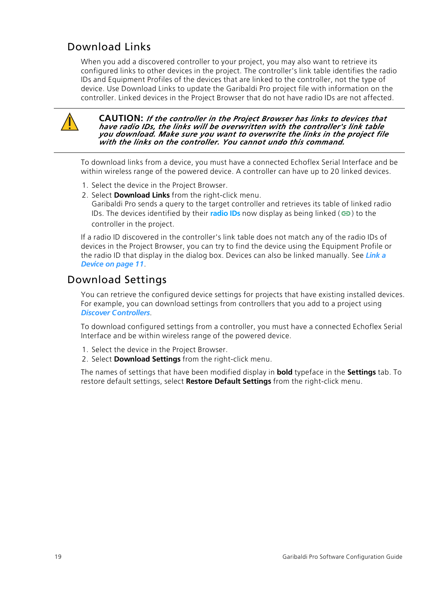## <span id="page-23-0"></span>Download Links

When you add a discovered controller to your project, you may also want to retrieve its configured links to other devices in the project. The controller's link table identifies the radio IDs and Equipment Profiles of the devices that are linked to the controller, not the type of device. Use Download Links to update the Garibaldi Pro project file with information on the controller. Linked devices in the Project Browser that do not have radio IDs are not affected.



**CAUTION:** *If the controller in the Project Browser has links to devices that have radio IDs, the links will be overwritten with the controller's link table you download. Make sure you want to overwrite the links in the project file with the links on the controller. You cannot undo this command.*

To download links from a device, you must have a connected Echoflex Serial Interface and be within wireless range of the powered device. A controller can have up to 20 linked devices.

- 1. Select the device in the Project Browser.
- 2. Select **Download Links** from the right-click menu.

Garibaldi Pro sends a query to the target controller and retrieves its table of linked radio IDs. The devices identified by their **[radio](#page-18-0) IDs** now display as being linked ( $\implies$ ) to the controller in the project.

If a radio ID discovered in the controller's link table does not match any of the radio IDs of devices in the Project Browser, you can try to find the device using the Equipment Profile or the radio ID that display in the dialog box. Devices can also be linked manually. See *[Link](#page-15-2) a Device on [page 11](#page-15-2)*.

#### <span id="page-23-1"></span>Download Settings

You can retrieve the configured device settings for projects that have existing installed devices. For example, you can download settings from controllers that you add to a project using *Discover [Controllers](#page-22-1)*.

To download configured settings from a controller, you must have a connected Echoflex Serial Interface and be within wireless range of the powered device.

- 1. Select the device in the Project Browser.
- 2. Select **Download Settings** from the right-click menu.

The names of settings that have been modified display in **bold** typeface in the **Settings** tab. To restore default settings, select **Restore Default Settings** from the right-click menu.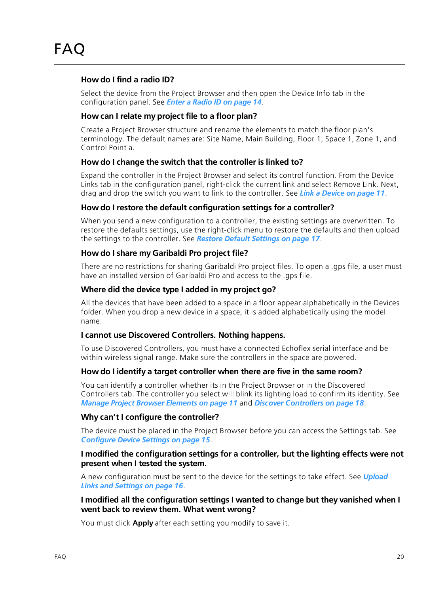#### <span id="page-24-0"></span>**How do I find a radio ID?**

Select the device from the Project Browser and then open the Device Info tab in the configuration panel. See *Enter a Radio ID on [page 14](#page-18-0)*.

#### **How can I relate my project file to a floor plan?**

Create a Project Browser structure and rename the elements to match the floor plan's terminology. The default names are: Site Name, Main Building, Floor 1, Space 1, Zone 1, and Control Point a.

#### **How do I change the switch that the controller is linked to?**

Expand the controller in the Project Browser and select its control function. From the Device Links tab in the configuration panel, right-click the current link and select Remove Link. Next, drag and drop the switch you want to link to the controller. See *Link a Device on [page 11](#page-15-2)*.

#### **How do I restore the default configuration settings for a controller?**

When you send a new configuration to a controller, the existing settings are overwritten. To restore the defaults settings, use the right-click menu to restore the defaults and then upload the settings to the controller. See *Restore Default [Settings](#page-21-0) on page 17*.

#### **How do I share my Garibaldi Pro project file?**

There are no restrictions for sharing Garibaldi Pro project files. To open a .gps file, a user must have an installed version of Garibaldi Pro and access to the .gps file.

#### **Where did the device type I added in my project go?**

All the devices that have been added to a space in a floor appear alphabetically in the Devices folder. When you drop a new device in a space, it is added alphabetically using the model name.

#### **I cannot use Discovered Controllers. Nothing happens.**

To use Discovered Controllers, you must have a connected Echoflex serial interface and be within wireless signal range. Make sure the controllers in the space are powered.

#### **How do I identify a target controller when there are five in the same room?**

You can identify a controller whether its in the Project Browser or in the Discovered Controllers tab. The controller you select will blink its lighting load to confirm its identity. See *Manage Project Browser [Elements](#page-15-1) on page 11* and *Discover [Controllers](#page-22-1) on page 18*.

#### **Why can't I configure the controller?**

The device must be placed in the Project Browser before you can access the Settings tab. See *[Configure](#page-19-0) Device Settings on page 15*.

#### **I modified the configuration settings for a controller, but the lighting effects were not present when I tested the system.**

A new configuration must be sent to the device for the settings to take effect. See *[Upload](#page-20-1) Links and [Settings](#page-20-1) on page 16*.

#### **I modified all the configuration settings I wanted to change but they vanished when I went back to review them. What went wrong?**

You must click **Apply** after each setting you modify to save it.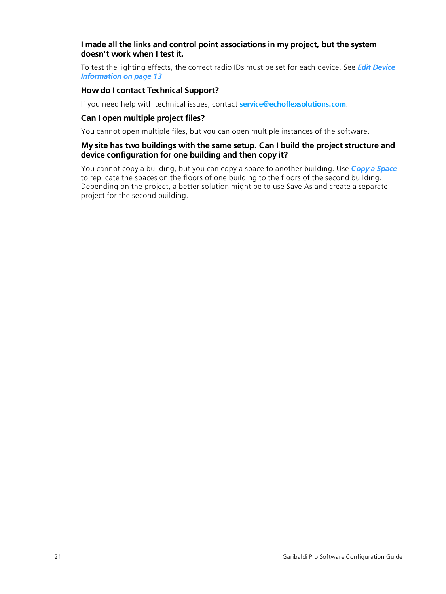#### **I made all the links and control point associations in my project, but the system doesn't work when I test it.**

To test the lighting effects, the correct radio IDs must be set for each device. See *Edit [Device](#page-17-0) [Information](#page-17-0) on page 13*.

#### **How do I contact Technical Support?**

If you need help with technical issues, contact **[service@echoflexsolutions.com](mailto:service@echoflexsolutions.com)**.

#### **Can I open multiple project files?**

You cannot open multiple files, but you can open multiple instances of the software.

#### **My site has two buildings with the same setup. Can I build the project structure and device configuration for one building and then copy it?**

You cannot copy a building, but you can copy a space to another building. Use *Copy a [Space](#page-20-0)* to replicate the spaces on the floors of one building to the floors of the second building. Depending on the project, a better solution might be to use Save As and create a separate project for the second building.